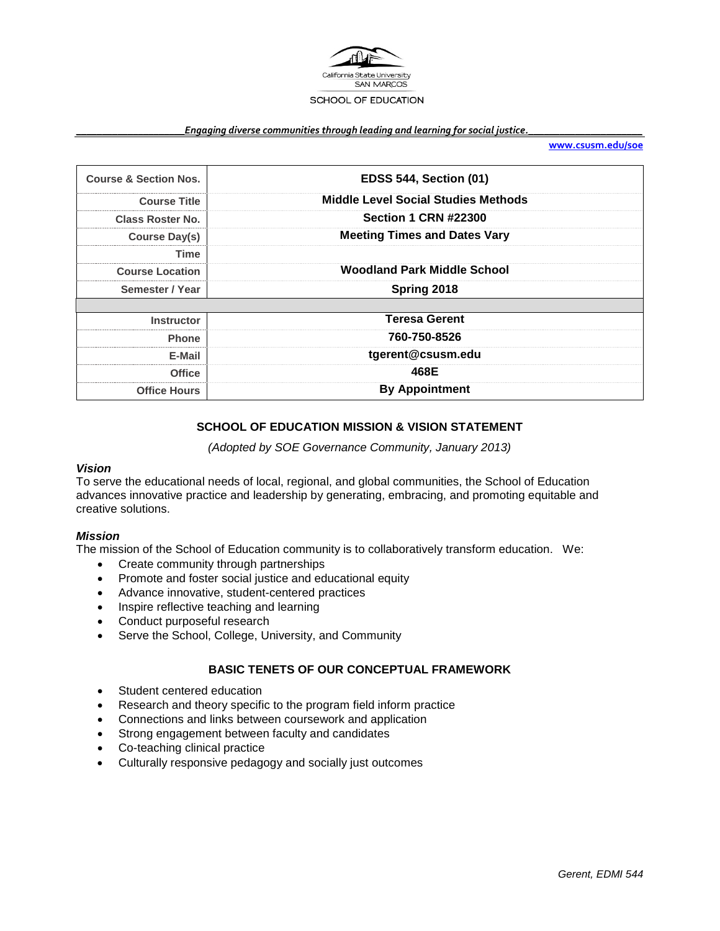

#### *\_\_\_\_\_\_\_\_\_\_\_\_\_\_\_\_\_\_\_\_\_Engaging diverse communities through leading and learning for social justice.\_\_\_\_\_\_\_\_\_\_\_\_\_\_\_\_\_\_\_\_\_\_*

**[www.csusm.edu/soe](http://www.csusm.edu/soe)**

| <b>Course &amp; Section Nos.</b> | <b>EDSS 544, Section (01)</b>              |  |
|----------------------------------|--------------------------------------------|--|
| <b>Course Title</b>              | <b>Middle Level Social Studies Methods</b> |  |
| Class Roster No.                 | <b>Section 1 CRN #22300</b>                |  |
| Course Day(s)                    | <b>Meeting Times and Dates Vary</b>        |  |
| Time                             |                                            |  |
| <b>Course Location</b>           | <b>Woodland Park Middle School</b>         |  |
| Semester / Year                  | Spring 2018                                |  |
| <b>Instructor</b>                | <b>Teresa Gerent</b>                       |  |
| <b>Phone</b>                     | 760-750-8526                               |  |
| E-Mail                           | tgerent@csusm.edu                          |  |
| <b>Office</b>                    | 468E                                       |  |
| <b>Office Hours</b>              | <b>By Appointment</b>                      |  |

# **SCHOOL OF EDUCATION MISSION & VISION STATEMENT**

*(Adopted by SOE Governance Community, January 2013)*

#### *Vision*

To serve the educational needs of local, regional, and global communities, the School of Education advances innovative practice and leadership by generating, embracing, and promoting equitable and creative solutions.

#### *Mission*

The mission of the School of Education community is to collaboratively transform education. We:

- Create community through partnerships
- Promote and foster social justice and educational equity
- Advance innovative, student-centered practices
- Inspire reflective teaching and learning
- Conduct purposeful research
- Serve the School, College, University, and Community

## **BASIC TENETS OF OUR CONCEPTUAL FRAMEWORK**

- Student centered education
- Research and theory specific to the program field inform practice
- Connections and links between coursework and application
- Strong engagement between faculty and candidates
- Co-teaching clinical practice
- Culturally responsive pedagogy and socially just outcomes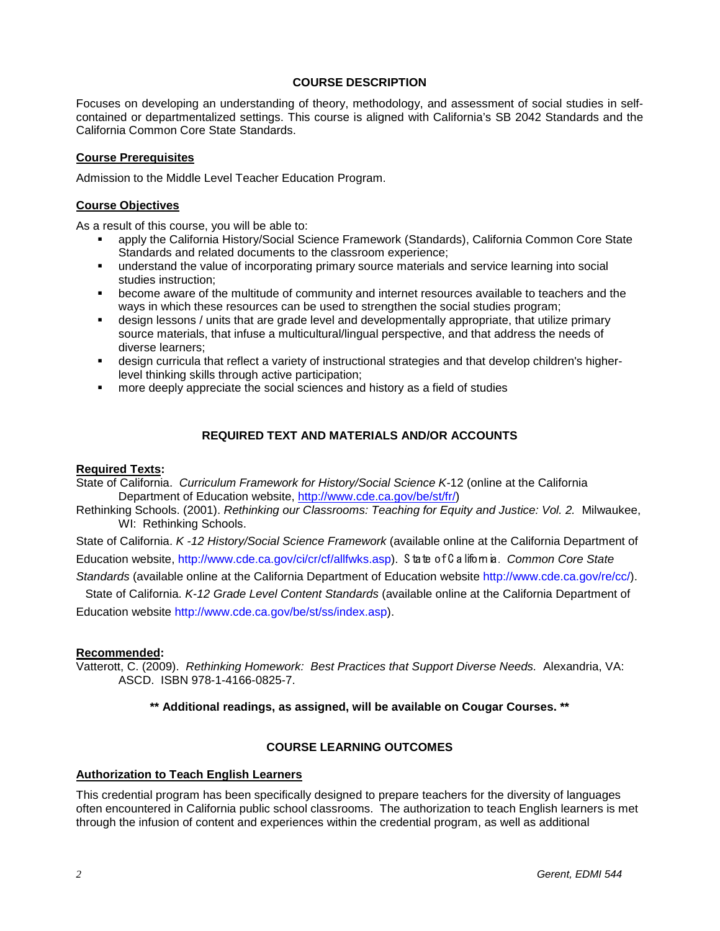## **COURSE DESCRIPTION**

Focuses on developing an understanding of theory, methodology, and assessment of social studies in selfcontained or departmentalized settings. This course is aligned with California's SB 2042 Standards and the California Common Core State Standards.

## **Course Prerequisites**

Admission to the Middle Level Teacher Education Program.

## **Course Objectives**

As a result of this course, you will be able to:

- apply the California History/Social Science Framework (Standards), California Common Core State Standards and related documents to the classroom experience;
- understand the value of incorporating primary source materials and service learning into social studies instruction;
- become aware of the multitude of community and internet resources available to teachers and the ways in which these resources can be used to strengthen the social studies program;
- design lessons / units that are grade level and developmentally appropriate, that utilize primary source materials, that infuse a multicultural/lingual perspective, and that address the needs of diverse learners;
- design curricula that reflect a variety of instructional strategies and that develop children's higherlevel thinking skills through active participation;
- more deeply appreciate the social sciences and history as a field of studies

# **REQUIRED TEXT AND MATERIALS AND/OR ACCOUNTS**

#### **Required Texts:**

State of California. *Curriculum Framework for History/Social Science K-*12 (online at the California Department of Education website, [http://www.cde.ca.gov/be/st/fr/\)](http://www.cde.ca.gov/be/st/fr/)

Rethinking Schools. (2001). *Rethinking our Classrooms: Teaching for Equity and Justice: Vol. 2.* Milwaukee, WI: Rethinking Schools.

State of California. *K -12 History/Social Science Framework* (available online at the California Department of Education website, http://www.cde.ca.gov/ci/cr/cf/allfwks.asp). S tate of C alifornia. *Common Core State* 

*Standards* (available online at the California Department of Education website http://www.cde.ca.gov/re/cc/).

State of California. *K-12 Grade Level Content Standards* (available online at the California Department of Education website http://www.cde.ca.gov/be/st/ss/index.asp).

#### **Recommended:**

Vatterott, C. (2009). *Rethinking Homework: Best Practices that Support Diverse Needs.* Alexandria, VA: ASCD. ISBN 978-1-4166-0825-7.

**\*\* Additional readings, as assigned, will be available on Cougar Courses. \*\***

#### **COURSE LEARNING OUTCOMES**

#### **Authorization to Teach English Learners**

This credential program has been specifically designed to prepare teachers for the diversity of languages often encountered in California public school classrooms. The authorization to teach English learners is met through the infusion of content and experiences within the credential program, as well as additional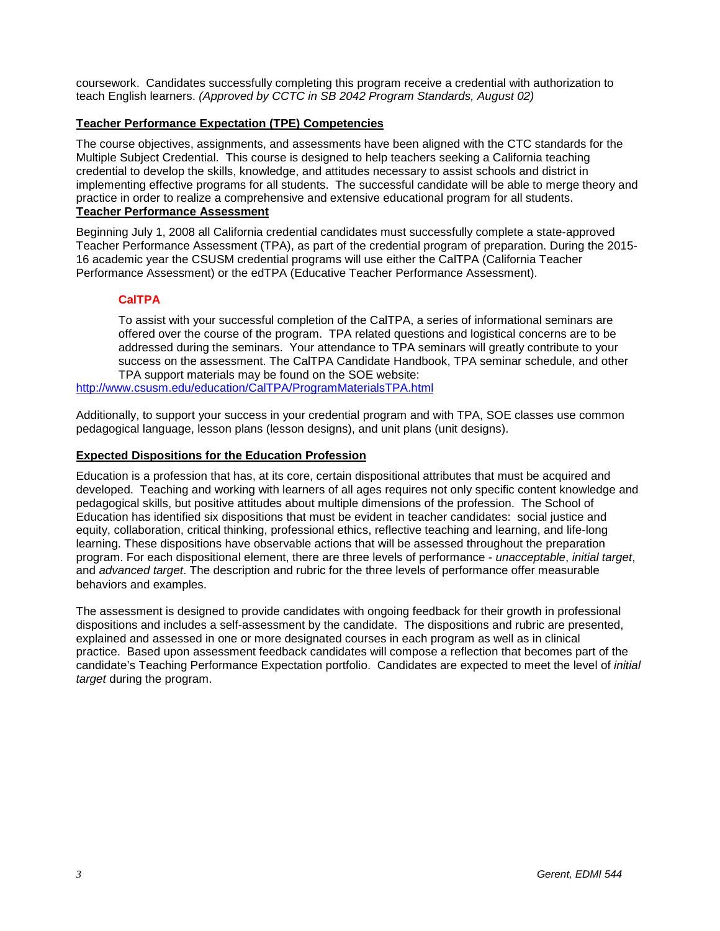coursework. Candidates successfully completing this program receive a credential with authorization to teach English learners. *(Approved by CCTC in SB 2042 Program Standards, August 02)*

# **Teacher Performance Expectation (TPE) Competencies**

The course objectives, assignments, and assessments have been aligned with the CTC standards for the Multiple Subject Credential. This course is designed to help teachers seeking a California teaching credential to develop the skills, knowledge, and attitudes necessary to assist schools and district in implementing effective programs for all students. The successful candidate will be able to merge theory and practice in order to realize a comprehensive and extensive educational program for all students. **Teacher Performance Assessment**

Beginning July 1, 2008 all California credential candidates must successfully complete a state-approved Teacher Performance Assessment (TPA), as part of the credential program of preparation. During the 2015- 16 academic year the CSUSM credential programs will use either the CalTPA (California Teacher Performance Assessment) or the edTPA (Educative Teacher Performance Assessment).

#### **CalTPA**

To assist with your successful completion of the CalTPA, a series of informational seminars are offered over the course of the program. TPA related questions and logistical concerns are to be addressed during the seminars. Your attendance to TPA seminars will greatly contribute to your success on the assessment. The CalTPA Candidate Handbook, TPA seminar schedule, and other TPA support materials may be found on the SOE website:

<http://www.csusm.edu/education/CalTPA/ProgramMaterialsTPA.html>

Additionally, to support your success in your credential program and with TPA, SOE classes use common pedagogical language, lesson plans (lesson designs), and unit plans (unit designs).

#### **Expected Dispositions for the Education Profession**

Education is a profession that has, at its core, certain dispositional attributes that must be acquired and developed. Teaching and working with learners of all ages requires not only specific content knowledge and pedagogical skills, but positive attitudes about multiple dimensions of the profession. The School of Education has identified six dispositions that must be evident in teacher candidates: social justice and equity, collaboration, critical thinking, professional ethics, reflective teaching and learning, and life-long learning. These dispositions have observable actions that will be assessed throughout the preparation program. For each dispositional element, there are three levels of performance - *unacceptable*, *initial target*, and *advanced target*. The description and rubric for the three levels of performance offer measurable behaviors and examples.

The assessment is designed to provide candidates with ongoing feedback for their growth in professional dispositions and includes a self-assessment by the candidate. The dispositions and rubric are presented, explained and assessed in one or more designated courses in each program as well as in clinical practice. Based upon assessment feedback candidates will compose a reflection that becomes part of the candidate's Teaching Performance Expectation portfolio. Candidates are expected to meet the level of *initial target* during the program.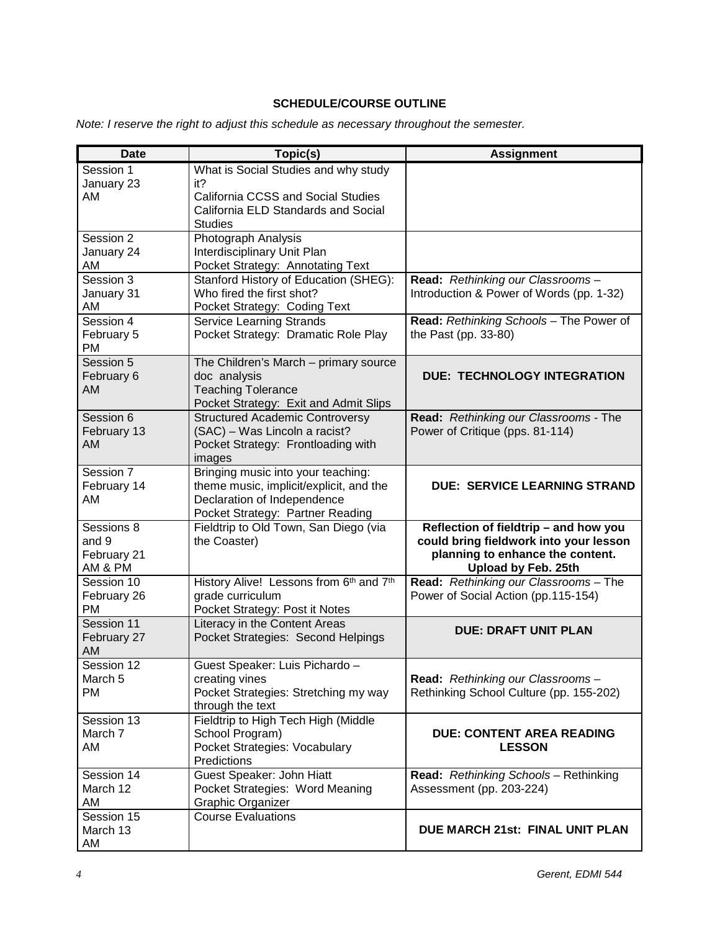# **SCHEDULE/COURSE OUTLINE**

*Note: I reserve the right to adjust this schedule as necessary throughout the semester.*

| <b>Date</b>           | Topic(s)                                                                  | <b>Assignment</b>                                            |
|-----------------------|---------------------------------------------------------------------------|--------------------------------------------------------------|
| Session 1             | What is Social Studies and why study                                      |                                                              |
| January 23<br>AM      | it?<br>California CCSS and Social Studies                                 |                                                              |
|                       | California ELD Standards and Social                                       |                                                              |
|                       | <b>Studies</b>                                                            |                                                              |
| Session 2             | Photograph Analysis                                                       |                                                              |
| January 24            | Interdisciplinary Unit Plan                                               |                                                              |
| AM<br>Session 3       | Pocket Strategy: Annotating Text<br>Stanford History of Education (SHEG): | Read: Rethinking our Classrooms-                             |
| January 31            | Who fired the first shot?                                                 | Introduction & Power of Words (pp. 1-32)                     |
| AM                    | Pocket Strategy: Coding Text                                              |                                                              |
| Session 4             | <b>Service Learning Strands</b>                                           | Read: Rethinking Schools - The Power of                      |
| February 5            | Pocket Strategy: Dramatic Role Play                                       | the Past (pp. 33-80)                                         |
| PM<br>Session 5       | The Children's March - primary source                                     |                                                              |
| February 6            | doc analysis                                                              | <b>DUE: TECHNOLOGY INTEGRATION</b>                           |
| AM                    | <b>Teaching Tolerance</b>                                                 |                                                              |
|                       | Pocket Strategy: Exit and Admit Slips                                     |                                                              |
| Session 6             | <b>Structured Academic Controversy</b>                                    | Read: Rethinking our Classrooms - The                        |
| February 13<br>AM     | (SAC) - Was Lincoln a racist?<br>Pocket Strategy: Frontloading with       | Power of Critique (pps. 81-114)                              |
|                       | images                                                                    |                                                              |
| Session 7             | Bringing music into your teaching:                                        |                                                              |
| February 14           | theme music, implicit/explicit, and the                                   | <b>DUE: SERVICE LEARNING STRAND</b>                          |
| AM                    | Declaration of Independence<br>Pocket Strategy: Partner Reading           |                                                              |
| Sessions 8            | Fieldtrip to Old Town, San Diego (via                                     | Reflection of fieldtrip - and how you                        |
| and 9                 | the Coaster)                                                              | could bring fieldwork into your lesson                       |
| February 21           |                                                                           | planning to enhance the content.                             |
| AM & PM<br>Session 10 |                                                                           | Upload by Feb. 25th<br>Read: Rethinking our Classrooms - The |
| February 26           | History Alive! Lessons from 6th and 7th<br>grade curriculum               | Power of Social Action (pp.115-154)                          |
| <b>PM</b>             | Pocket Strategy: Post it Notes                                            |                                                              |
| Session 11            | Literacy in the Content Areas                                             | <b>DUE: DRAFT UNIT PLAN</b>                                  |
| February 27           | Pocket Strategies: Second Helpings                                        |                                                              |
| AM<br>Session 12      | Guest Speaker: Luis Pichardo -                                            |                                                              |
| March <sub>5</sub>    | creating vines                                                            | Read: Rethinking our Classrooms -                            |
| <b>PM</b>             | Pocket Strategies: Stretching my way                                      | Rethinking School Culture (pp. 155-202)                      |
|                       | through the text                                                          |                                                              |
| Session 13            | Fieldtrip to High Tech High (Middle                                       |                                                              |
| March 7<br>AM         | School Program)<br>Pocket Strategies: Vocabulary                          | <b>DUE: CONTENT AREA READING</b><br><b>LESSON</b>            |
|                       | Predictions                                                               |                                                              |
| Session 14            | Guest Speaker: John Hiatt                                                 | Read: Rethinking Schools - Rethinking                        |
| March 12              | Pocket Strategies: Word Meaning                                           | Assessment (pp. 203-224)                                     |
| AM<br>Session 15      | Graphic Organizer                                                         |                                                              |
| March 13              | <b>Course Evaluations</b>                                                 | DUE MARCH 21st: FINAL UNIT PLAN                              |
| AM                    |                                                                           |                                                              |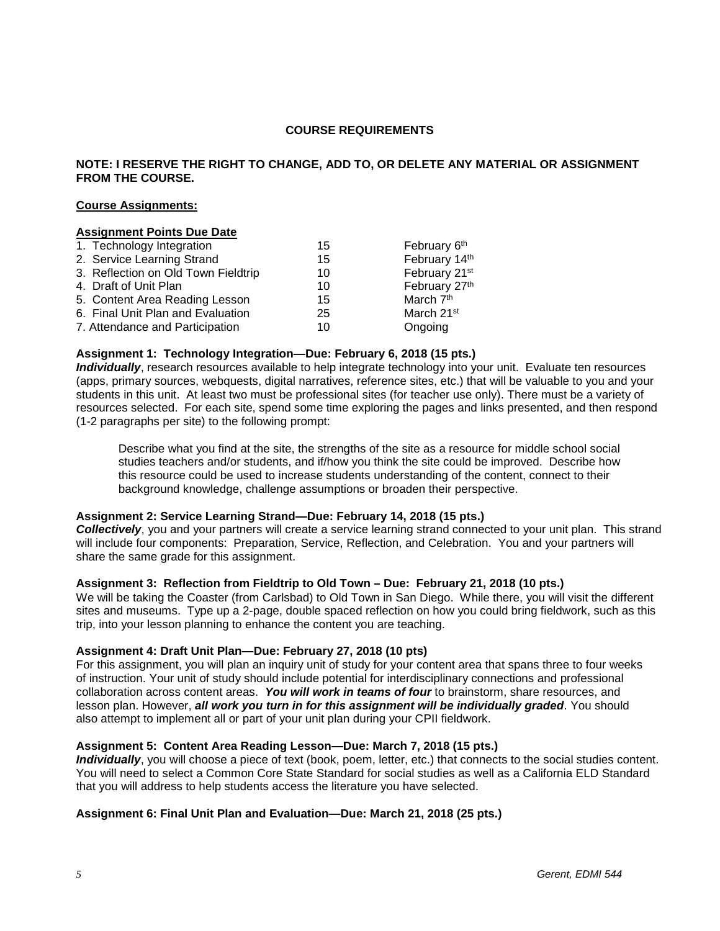## **COURSE REQUIREMENTS**

## **NOTE: I RESERVE THE RIGHT TO CHANGE, ADD TO, OR DELETE ANY MATERIAL OR ASSIGNMENT FROM THE COURSE.**

#### **Course Assignments:**

## **Assignment Points Due Date** 1. Technology Integration 15 February 6<sup>th</sup><br>
2. Service Learning Strand 15 15 February 14<sup>th</sup> 2. Service Learning Strand 15 3. Reflection on Old Town Fieldtrip 10 February 21<sup>st</sup><br>4. Draft of Unit Plan 10 10 February 27<sup>th</sup> 4. Draft of Unit Plan 10 10 February<br>10 February 27th 10 February 27th 15 Anti-5. Content Area Reading Lesson 15 6. Final Unit Plan and Evaluation 25 March 21st 7. Attendance and Participation 10 10 Ongoing

#### **Assignment 1: Technology Integration—Due: February 6, 2018 (15 pts.)**

*Individually*, research resources available to help integrate technology into your unit. Evaluate ten resources (apps, primary sources, webquests, digital narratives, reference sites, etc.) that will be valuable to you and your students in this unit. At least two must be professional sites (for teacher use only). There must be a variety of resources selected. For each site, spend some time exploring the pages and links presented, and then respond (1-2 paragraphs per site) to the following prompt:

Describe what you find at the site, the strengths of the site as a resource for middle school social studies teachers and/or students, and if/how you think the site could be improved. Describe how this resource could be used to increase students understanding of the content, connect to their background knowledge, challenge assumptions or broaden their perspective.

## **Assignment 2: Service Learning Strand—Due: February 14, 2018 (15 pts.)**

*Collectively*, you and your partners will create a service learning strand connected to your unit plan. This strand will include four components: Preparation, Service, Reflection, and Celebration. You and your partners will share the same grade for this assignment.

#### **Assignment 3: Reflection from Fieldtrip to Old Town – Due: February 21, 2018 (10 pts.)**

We will be taking the Coaster (from Carlsbad) to Old Town in San Diego. While there, you will visit the different sites and museums. Type up a 2-page, double spaced reflection on how you could bring fieldwork, such as this trip, into your lesson planning to enhance the content you are teaching.

#### **Assignment 4: Draft Unit Plan—Due: February 27, 2018 (10 pts)**

For this assignment, you will plan an inquiry unit of study for your content area that spans three to four weeks of instruction. Your unit of study should include potential for interdisciplinary connections and professional collaboration across content areas. *You will work in teams of four* to brainstorm, share resources, and lesson plan. However, *all work you turn in for this assignment will be individually graded*. You should also attempt to implement all or part of your unit plan during your CPII fieldwork.

#### **Assignment 5: Content Area Reading Lesson—Due: March 7, 2018 (15 pts.)**

*Individually*, you will choose a piece of text (book, poem, letter, etc.) that connects to the social studies content. You will need to select a Common Core State Standard for social studies as well as a California ELD Standard that you will address to help students access the literature you have selected.

## **Assignment 6: Final Unit Plan and Evaluation—Due: March 21, 2018 (25 pts.)**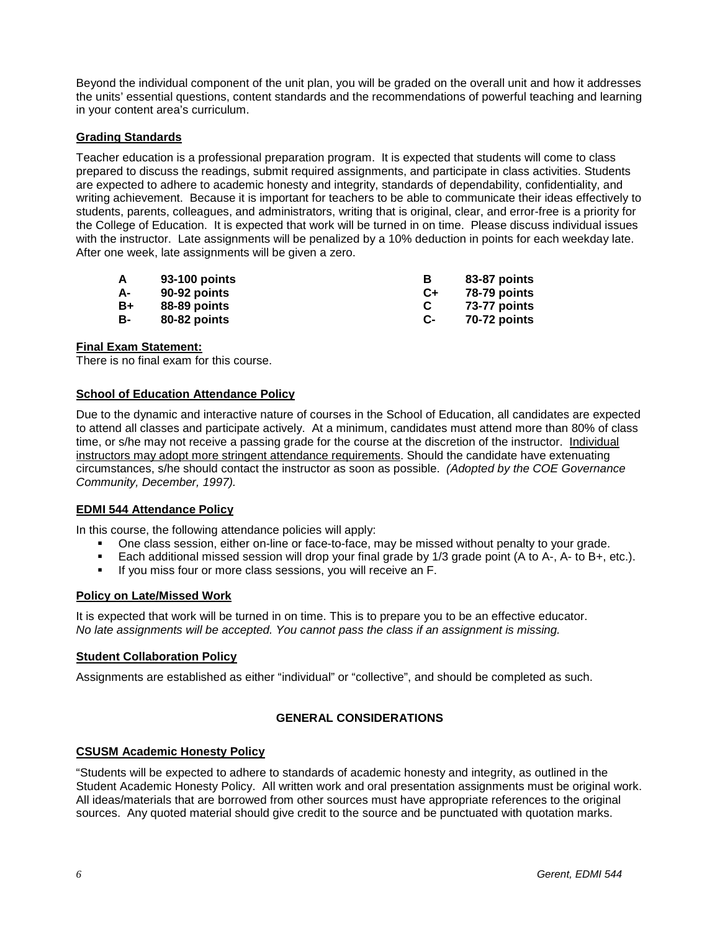Beyond the individual component of the unit plan, you will be graded on the overall unit and how it addresses the units' essential questions, content standards and the recommendations of powerful teaching and learning in your content area's curriculum.

#### **Grading Standards**

Teacher education is a professional preparation program. It is expected that students will come to class prepared to discuss the readings, submit required assignments, and participate in class activities. Students are expected to adhere to academic honesty and integrity, standards of dependability, confidentiality, and writing achievement. Because it is important for teachers to be able to communicate their ideas effectively to students, parents, colleagues, and administrators, writing that is original, clear, and error-free is a priority for the College of Education. It is expected that work will be turned in on time. Please discuss individual issues with the instructor. Late assignments will be penalized by a 10% deduction in points for each weekday late. After one week, late assignments will be given a zero.

| A  | 93-100 points |      | 83-87 points |
|----|---------------|------|--------------|
| А- | 90-92 points  | $C+$ | 78-79 points |
| B+ | 88-89 points  |      | 73-77 points |
| в- | 80-82 points  | С-   | 70-72 points |

#### **Final Exam Statement:**

There is no final exam for this course.

#### **School of Education Attendance Policy**

Due to the dynamic and interactive nature of courses in the School of Education, all candidates are expected to attend all classes and participate actively. At a minimum, candidates must attend more than 80% of class time, or s/he may not receive a passing grade for the course at the discretion of the instructor. Individual instructors may adopt more stringent attendance requirements. Should the candidate have extenuating circumstances, s/he should contact the instructor as soon as possible. *(Adopted by the COE Governance Community, December, 1997).*

#### **EDMI 544 Attendance Policy**

In this course, the following attendance policies will apply:

- One class session, either on-line or face-to-face, may be missed without penalty to your grade.
- Each additional missed session will drop your final grade by 1/3 grade point (A to A-, A- to B+, etc.).
- If you miss four or more class sessions, you will receive an F.

#### **Policy on Late/Missed Work**

It is expected that work will be turned in on time. This is to prepare you to be an effective educator. *No late assignments will be accepted. You cannot pass the class if an assignment is missing.*

#### **Student Collaboration Policy**

Assignments are established as either "individual" or "collective", and should be completed as such.

# **GENERAL CONSIDERATIONS**

#### **CSUSM Academic Honesty Policy**

"Students will be expected to adhere to standards of academic honesty and integrity, as outlined in the Student Academic Honesty Policy. All written work and oral presentation assignments must be original work. All ideas/materials that are borrowed from other sources must have appropriate references to the original sources. Any quoted material should give credit to the source and be punctuated with quotation marks.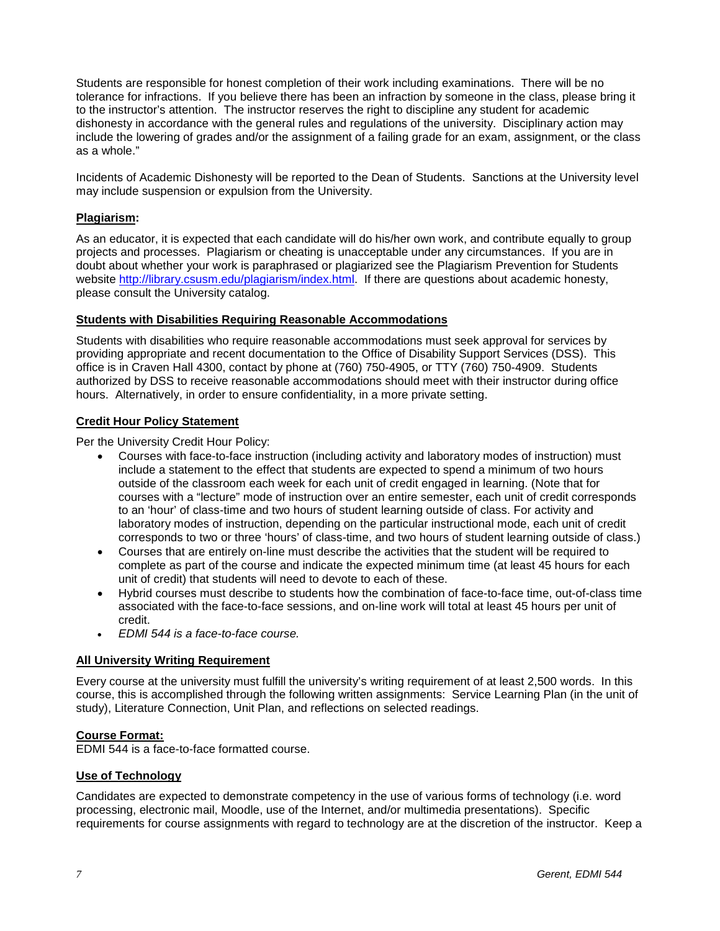Students are responsible for honest completion of their work including examinations. There will be no tolerance for infractions. If you believe there has been an infraction by someone in the class, please bring it to the instructor's attention. The instructor reserves the right to discipline any student for academic dishonesty in accordance with the general rules and regulations of the university. Disciplinary action may include the lowering of grades and/or the assignment of a failing grade for an exam, assignment, or the class as a whole."

Incidents of Academic Dishonesty will be reported to the Dean of Students. Sanctions at the University level may include suspension or expulsion from the University.

## **Plagiarism:**

As an educator, it is expected that each candidate will do his/her own work, and contribute equally to group projects and processes. Plagiarism or cheating is unacceptable under any circumstances. If you are in doubt about whether your work is paraphrased or plagiarized see the Plagiarism Prevention for Students website [http://library.csusm.edu/plagiarism/index.html.](http://library.csusm.edu/plagiarism/index.html) If there are questions about academic honesty, please consult the University catalog.

## **Students with Disabilities Requiring Reasonable Accommodations**

Students with disabilities who require reasonable accommodations must seek approval for services by providing appropriate and recent documentation to the Office of Disability Support Services (DSS). This office is in Craven Hall 4300, contact by phone at (760) 750-4905, or TTY (760) 750-4909. Students authorized by DSS to receive reasonable accommodations should meet with their instructor during office hours. Alternatively, in order to ensure confidentiality, in a more private setting.

#### **Credit Hour Policy Statement**

Per the University Credit Hour Policy:

- Courses with face-to-face instruction (including activity and laboratory modes of instruction) must include a statement to the effect that students are expected to spend a minimum of two hours outside of the classroom each week for each unit of credit engaged in learning. (Note that for courses with a "lecture" mode of instruction over an entire semester, each unit of credit corresponds to an 'hour' of class-time and two hours of student learning outside of class. For activity and laboratory modes of instruction, depending on the particular instructional mode, each unit of credit corresponds to two or three 'hours' of class-time, and two hours of student learning outside of class.)
- Courses that are entirely on-line must describe the activities that the student will be required to complete as part of the course and indicate the expected minimum time (at least 45 hours for each unit of credit) that students will need to devote to each of these.
- Hybrid courses must describe to students how the combination of face-to-face time, out-of-class time associated with the face-to-face sessions, and on-line work will total at least 45 hours per unit of credit.
- *EDMI 544 is a face-to-face course.*

#### **All University Writing Requirement**

Every course at the university must fulfill the university's writing requirement of at least 2,500 words. In this course, this is accomplished through the following written assignments: Service Learning Plan (in the unit of study), Literature Connection, Unit Plan, and reflections on selected readings.

#### **Course Format:**

EDMI 544 is a face-to-face formatted course.

#### **Use of Technology**

Candidates are expected to demonstrate competency in the use of various forms of technology (i.e. word processing, electronic mail, Moodle, use of the Internet, and/or multimedia presentations). Specific requirements for course assignments with regard to technology are at the discretion of the instructor. Keep a